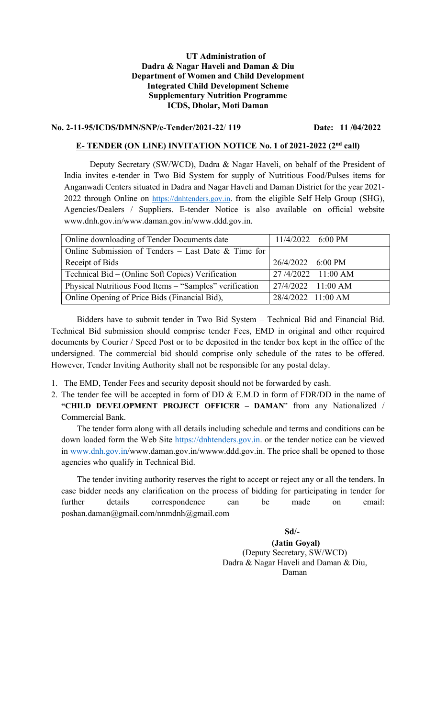#### UT Administration of Dadra & Nagar Haveli and Daman & Diu Department of Women and Child Development Integrated Child Development Scheme Supplementary Nutrition Programme ICDS, Dholar, Moti Daman

#### No. 2-11-95/ICDS/DMN/SNP/e-Tender/2021-22/ 119 Date: 11 /04/2022

#### E- TENDER (ON LINE) INVITATION NOTICE No. 1 of 2021-2022 (2<sup>nd</sup> call)

Deputy Secretary (SW/WCD), Dadra & Nagar Haveli, on behalf of the President of India invites e-tender in Two Bid System for supply of Nutritious Food/Pulses items for Anganwadi Centers situated in Dadra and Nagar Haveli and Daman District for the year 2021- 2022 through Online on https://dnhtenders.gov.in. from the eligible Self Help Group (SHG), Agencies/Dealers / Suppliers. E-tender Notice is also available on official website www.dnh.gov.in/www.daman.gov.in/www.ddd.gov.in.

| Online downloading of Tender Documents date             | 11/4/2022 6:00 PM  |
|---------------------------------------------------------|--------------------|
| Online Submission of Tenders - Last Date & Time for     |                    |
| Receipt of Bids                                         | 26/4/2022 6:00 PM  |
| Technical Bid – (Online Soft Copies) Verification       | 27/4/2022 11:00 AM |
| Physical Nutritious Food Items – "Samples" verification | 27/4/2022 11:00 AM |
| Online Opening of Price Bids (Financial Bid),           | 28/4/2022 11:00 AM |

Bidders have to submit tender in Two Bid System – Technical Bid and Financial Bid. Technical Bid submission should comprise tender Fees, EMD in original and other required documents by Courier / Speed Post or to be deposited in the tender box kept in the office of the undersigned. The commercial bid should comprise only schedule of the rates to be offered. However, Tender Inviting Authority shall not be responsible for any postal delay.

- 1. The EMD, Tender Fees and security deposit should not be forwarded by cash.
- 2. The tender fee will be accepted in form of DD & E.M.D in form of FDR/DD in the name of "CHILD DEVELOPMENT PROJECT OFFICER - DAMAN" from any Nationalized / Commercial Bank.

 The tender form along with all details including schedule and terms and conditions can be down loaded form the Web Site https://dnhtenders.gov.in. or the tender notice can be viewed in www.dnh.gov.in/www.daman.gov.in/wwww.ddd.gov.in. The price shall be opened to those agencies who qualify in Technical Bid.

The tender inviting authority reserves the right to accept or reject any or all the tenders. In case bidder needs any clarification on the process of bidding for participating in tender for further details correspondence can be made on email: poshan.daman@gmail.com/nnmdnh@gmail.com

> Sd/- (Jatin Goyal) (Deputy Secretary, SW/WCD) Dadra & Nagar Haveli and Daman & Diu, Daman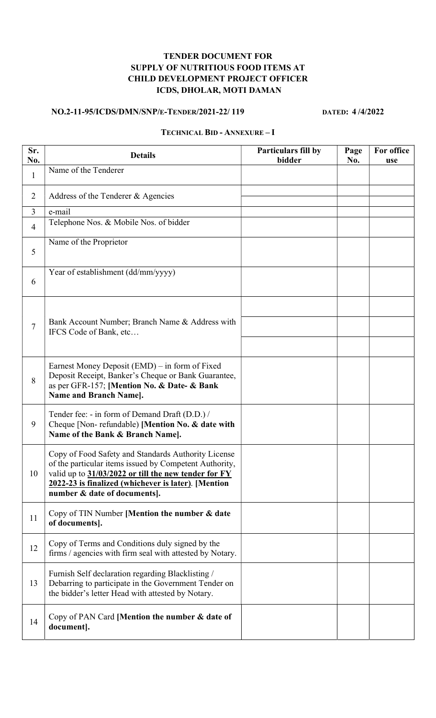# TENDER DOCUMENT FOR SUPPLY OF NUTRITIOUS FOOD ITEMS AT CHILD DEVELOPMENT PROJECT OFFICER ICDS, DHOLAR, MOTI DAMAN

## NO.2-11-95/ICDS/DMN/SNP/E-TENDER/2021-22/ 119 DATED: 4/4/2022

# TECHNICAL BID - ANNEXURE – I

| Sr.<br>No.     | <b>Details</b>                                                                                                                                                                                                                                               | Particulars fill by<br>bidder | Page<br>No. | For office<br>use |
|----------------|--------------------------------------------------------------------------------------------------------------------------------------------------------------------------------------------------------------------------------------------------------------|-------------------------------|-------------|-------------------|
| $\mathbf{1}$   | Name of the Tenderer                                                                                                                                                                                                                                         |                               |             |                   |
| $\overline{2}$ | Address of the Tenderer & Agencies                                                                                                                                                                                                                           |                               |             |                   |
| $\overline{3}$ | e-mail                                                                                                                                                                                                                                                       |                               |             |                   |
| $\overline{4}$ | Telephone Nos. & Mobile Nos. of bidder                                                                                                                                                                                                                       |                               |             |                   |
| 5              | Name of the Proprietor                                                                                                                                                                                                                                       |                               |             |                   |
| 6              | Year of establishment (dd/mm/yyyy)                                                                                                                                                                                                                           |                               |             |                   |
| $\overline{7}$ | Bank Account Number; Branch Name & Address with<br>IFCS Code of Bank, etc                                                                                                                                                                                    |                               |             |                   |
| 8              | Earnest Money Deposit (EMD) – in form of Fixed<br>Deposit Receipt, Banker's Cheque or Bank Guarantee,<br>as per GFR-157; [Mention No. & Date- & Bank<br><b>Name and Branch Name].</b>                                                                        |                               |             |                   |
| 9              | Tender fee: - in form of Demand Draft (D.D.) /<br>Cheque [Non-refundable) [Mention No. & date with<br>Name of the Bank & Branch Name].                                                                                                                       |                               |             |                   |
| 10             | Copy of Food Safety and Standards Authority License<br>of the particular items issued by Competent Authority,<br>valid up to 31/03/2022 or till the new tender for FY<br>2022-23 is finalized (whichever is later). [Mention<br>number & date of documents]. |                               |             |                   |
| 11             | Copy of TIN Number [Mention the number & date<br>of documents].                                                                                                                                                                                              |                               |             |                   |
| 12             | Copy of Terms and Conditions duly signed by the<br>firms / agencies with firm seal with attested by Notary.                                                                                                                                                  |                               |             |                   |
| 13             | Furnish Self declaration regarding Blacklisting /<br>Debarring to participate in the Government Tender on<br>the bidder's letter Head with attested by Notary.                                                                                               |                               |             |                   |
| 14             | Copy of PAN Card [Mention the number & date of<br>document].                                                                                                                                                                                                 |                               |             |                   |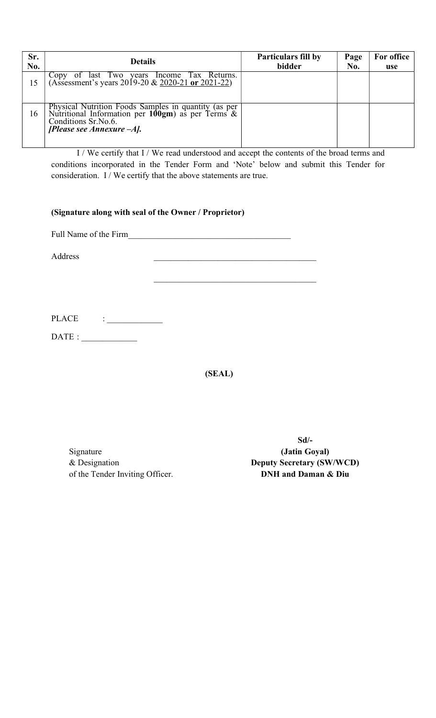| Sr.<br>No. | <b>Details</b>                                                                                                                                              | <b>Particulars fill by</b><br>bidder | Page<br>No. | For office<br><b>use</b> |
|------------|-------------------------------------------------------------------------------------------------------------------------------------------------------------|--------------------------------------|-------------|--------------------------|
| 15         | Copy of last Two years Income Tax Returns.<br>(Assessment's years 2019-20 & 2020-21 or 2021-22)                                                             |                                      |             |                          |
| 16         | Physical Nutrition Foods Samples in quantity (as per Nutritional Information per 100gm) as per Terms & Conditions Sr. No.6.<br>[Please see Annexure $-A$ ]. |                                      |             |                          |

I / We certify that I / We read understood and accept the contents of the broad terms and conditions incorporated in the Tender Form and 'Note' below and submit this Tender for consideration. I / We certify that the above statements are true.

## (Signature along with seal of the Owner / Proprietor)

Full Name of the Firm

Address **and a set of the set of the set of the set of the set of the set of the set of the set of the set of the set of the set of the set of the set of the set of the set of the set of the set of the set of the set of th** 

PLACE : \_\_\_\_\_\_\_\_\_\_\_\_\_

 $\text{DATE}: \underline{\hspace{2.5cm}}$ 

(SEAL)

Signature & Designation of the Tender Inviting Officer.

Sd/- (Jatin Goyal) Deputy Secretary (SW/WCD) DNH and Daman & Diu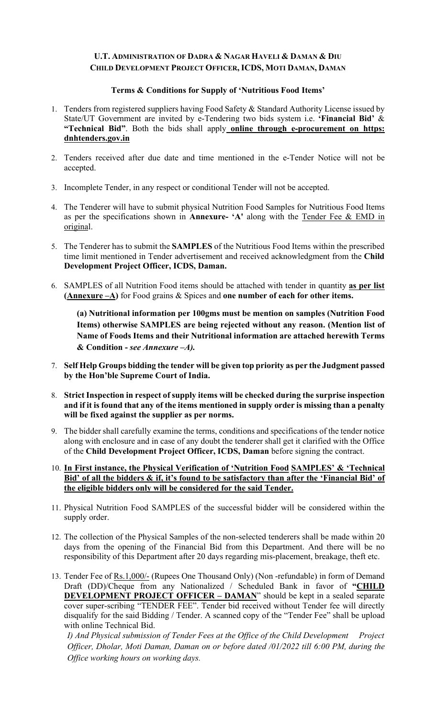### U.T. ADMINISTRATION OF DADRA & NAGAR HAVELI & DAMAN & DIU CHILD DEVELOPMENT PROJECT OFFICER, ICDS, MOTI DAMAN, DAMAN

#### Terms & Conditions for Supply of 'Nutritious Food Items'

- 1. Tenders from registered suppliers having Food Safety & Standard Authority License issued by State/UT Government are invited by e-Tendering two bids system i.e. 'Financial Bid' & "Technical Bid". Both the bids shall apply online through e-procurement on https: dnhtenders.gov.in
- 2. Tenders received after due date and time mentioned in the e-Tender Notice will not be accepted.
- 3. Incomplete Tender, in any respect or conditional Tender will not be accepted.
- 4. The Tenderer will have to submit physical Nutrition Food Samples for Nutritious Food Items as per the specifications shown in Annexure- 'A' along with the Tender Fee & EMD in original.
- 5. The Tenderer has to submit the SAMPLES of the Nutritious Food Items within the prescribed time limit mentioned in Tender advertisement and received acknowledgment from the Child Development Project Officer, ICDS, Daman.
- 6. SAMPLES of all Nutrition Food items should be attached with tender in quantity as per list (Annexure  $-A$ ) for Food grains & Spices and one number of each for other items.

(a) Nutritional information per 100gms must be mention on samples (Nutrition Food Items) otherwise SAMPLES are being rejected without any reason. (Mention list of Name of Foods Items and their Nutritional information are attached herewith Terms & Condition - see Annexure  $-A$ ).

- 7. Self Help Groups bidding the tender will be given top priority as per the Judgment passed by the Hon'ble Supreme Court of India.
- 8. Strict Inspection in respect of supply items will be checked during the surprise inspection and if it is found that any of the items mentioned in supply order is missing than a penalty will be fixed against the supplier as per norms.
- 9. The bidder shall carefully examine the terms, conditions and specifications of the tender notice along with enclosure and in case of any doubt the tenderer shall get it clarified with the Office of the Child Development Project Officer, ICDS, Daman before signing the contract.
- 10. In First instance, the Physical Verification of 'Nutrition Food SAMPLES' & 'Technical Bid' of all the bidders & if, it's found to be satisfactory than after the 'Financial Bid' of the eligible bidders only will be considered for the said Tender.
- 11. Physical Nutrition Food SAMPLES of the successful bidder will be considered within the supply order.
- 12. The collection of the Physical Samples of the non-selected tenderers shall be made within 20 days from the opening of the Financial Bid from this Department. And there will be no responsibility of this Department after 20 days regarding mis-placement, breakage, theft etc.
- 13. Tender Fee of Rs.1,000/- (Rupees One Thousand Only) (Non-refundable) in form of Demand Draft (DD)/Cheque from any Nationalized / Scheduled Bank in favor of "CHILD DEVELOPMENT PROJECT OFFICER – DAMAN" should be kept in a sealed separate cover super-scribing "TENDER FEE". Tender bid received without Tender fee will directly disqualify for the said Bidding / Tender. A scanned copy of the "Tender Fee" shall be upload with online Technical Bid.

I) And Physical submission of Tender Fees at the Office of the Child Development Project Officer, Dholar, Moti Daman, Daman on or before dated /01/2022 till 6:00 PM, during the Office working hours on working days.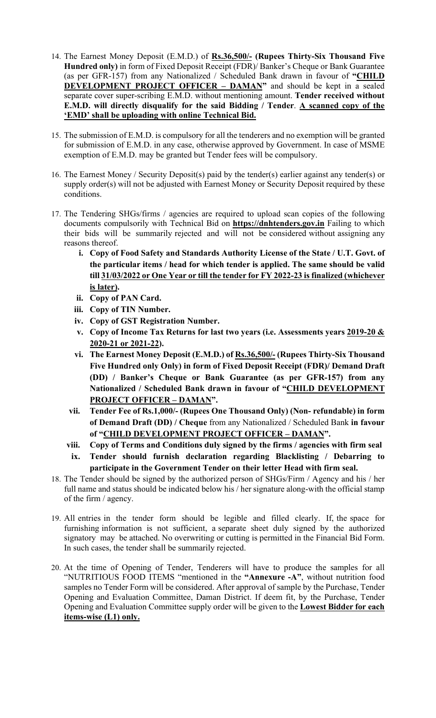- 14. The Earnest Money Deposit (E.M.D.) of Rs.36,500/- (Rupees Thirty-Six Thousand Five Hundred only) in form of Fixed Deposit Receipt (FDR)/ Banker's Cheque or Bank Guarantee (as per GFR-157) from any Nationalized / Scheduled Bank drawn in favour of "CHILD DEVELOPMENT PROJECT OFFICER – DAMAN" and should be kept in a sealed separate cover super-scribing E.M.D. without mentioning amount. Tender received without E.M.D. will directly disqualify for the said Bidding / Tender. A scanned copy of the 'EMD' shall be uploading with online Technical Bid.
- 15. The submission of E.M.D. is compulsory for all the tenderers and no exemption will be granted for submission of E.M.D. in any case, otherwise approved by Government. In case of MSME exemption of E.M.D. may be granted but Tender fees will be compulsory.
- 16. The Earnest Money / Security Deposit(s) paid by the tender(s) earlier against any tender(s) or supply order(s) will not be adjusted with Earnest Money or Security Deposit required by these conditions.
- 17. The Tendering SHGs/firms / agencies are required to upload scan copies of the following documents compulsorily with Technical Bid on **https://dnhtenders.gov.in** Failing to which their bids will be summarily rejected and will not be considered without assigning any reasons thereof.
	- i. Copy of Food Safety and Standards Authority License of the State / U.T. Govt. of the particular items / head for which tender is applied. The same should be valid till 31/03/2022 or One Year or till the tender for FY 2022-23 is finalized (whichever is later).
	- ii. Copy of PAN Card.
	- iii. Copy of TIN Number.
	- iv. Copy of GST Registration Number.
	- v. Copy of Income Tax Returns for last two years (i.e. Assessments years  $\frac{2019-20 \&}{\frac{1}{20}}$ 2020-21 or 2021-22).
	- vi. The Earnest Money Deposit (E.M.D.) of Rs.36,500/- (Rupees Thirty-Six Thousand Five Hundred only Only) in form of Fixed Deposit Receipt (FDR)/ Demand Draft (DD) / Banker's Cheque or Bank Guarantee (as per GFR-157) from any Nationalized / Scheduled Bank drawn in favour of "CHILD DEVELOPMENT PROJECT OFFICER – DAMAN".
	- vii. Tender Fee of Rs.1,000/- (Rupees One Thousand Only) (Non- refundable) in form of Demand Draft (DD) / Cheque from any Nationalized / Scheduled Bank in favour of "CHILD DEVELOPMENT PROJECT OFFICER – DAMAN".
	- viii. Copy of Terms and Conditions duly signed by the firms / agencies with firm seal
	- ix. Tender should furnish declaration regarding Blacklisting / Debarring to participate in the Government Tender on their letter Head with firm seal.
- 18. The Tender should be signed by the authorized person of SHGs/Firm / Agency and his / her full name and status should be indicated below his / her signature along-with the official stamp of the firm / agency.
- 19. All entries in the tender form should be legible and filled clearly. If, the space for furnishing information is not sufficient, a separate sheet duly signed by the authorized signatory may be attached. No overwriting or cutting is permitted in the Financial Bid Form. In such cases, the tender shall be summarily rejected.
- 20. At the time of Opening of Tender, Tenderers will have to produce the samples for all "NUTRITIOUS FOOD ITEMS "mentioned in the "Annexure -A", without nutrition food samples no Tender Form will be considered. After approval of sample by the Purchase, Tender Opening and Evaluation Committee, Daman District. If deem fit, by the Purchase, Tender Opening and Evaluation Committee supply order will be given to the **Lowest Bidder for each** items-wise (L1) only.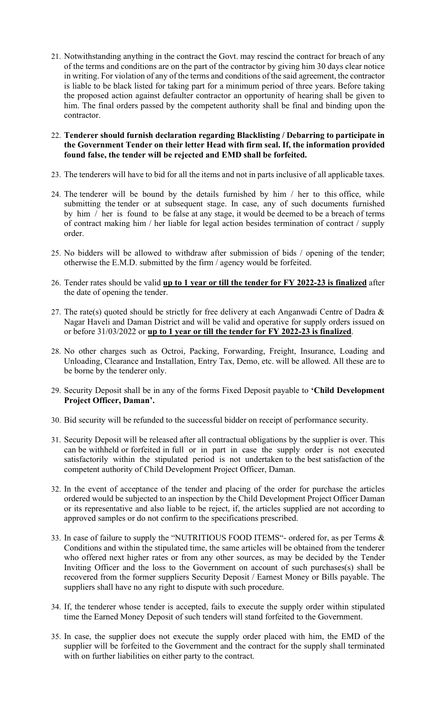21. Notwithstanding anything in the contract the Govt. may rescind the contract for breach of any of the terms and conditions are on the part of the contractor by giving him 30 days clear notice in writing. For violation of any of the terms and conditions of the said agreement, the contractor is liable to be black listed for taking part for a minimum period of three years. Before taking the proposed action against defaulter contractor an opportunity of hearing shall be given to him. The final orders passed by the competent authority shall be final and binding upon the contractor.

22. Tenderer should furnish declaration regarding Blacklisting / Debarring to participate in the Government Tender on their letter Head with firm seal. If, the information provided found false, the tender will be rejected and EMD shall be forfeited.

- 23. The tenderers will have to bid for all the items and not in parts inclusive of all applicable taxes.
- 24. The tenderer will be bound by the details furnished by him / her to this office, while submitting the tender or at subsequent stage. In case, any of such documents furnished by him / her is found to be false at any stage, it would be deemed to be a breach of terms of contract making him / her liable for legal action besides termination of contract / supply order.
- 25. No bidders will be allowed to withdraw after submission of bids / opening of the tender; otherwise the E.M.D. submitted by the firm / agency would be forfeited.
- 26. Tender rates should be valid up to 1 year or till the tender for FY 2022-23 is finalized after the date of opening the tender.
- 27. The rate(s) quoted should be strictly for free delivery at each Anganwadi Centre of Dadra  $\&$ Nagar Haveli and Daman District and will be valid and operative for supply orders issued on or before 31/03/2022 or up to 1 year or till the tender for FY 2022-23 is finalized.
- 28. No other charges such as Octroi, Packing, Forwarding, Freight, Insurance, Loading and Unloading, Clearance and Installation, Entry Tax, Demo, etc. will be allowed. All these are to be borne by the tenderer only.
- 29. Security Deposit shall be in any of the forms Fixed Deposit payable to 'Child Development Project Officer, Daman'.
- 30. Bid security will be refunded to the successful bidder on receipt of performance security.
- 31. Security Deposit will be released after all contractual obligations by the supplier is over. This can be withheld or forfeited in full or in part in case the supply order is not executed satisfactorily within the stipulated period is not undertaken to the best satisfaction of the competent authority of Child Development Project Officer, Daman.
- 32. In the event of acceptance of the tender and placing of the order for purchase the articles ordered would be subjected to an inspection by the Child Development Project Officer Daman or its representative and also liable to be reject, if, the articles supplied are not according to approved samples or do not confirm to the specifications prescribed.
- 33. In case of failure to supply the "NUTRITIOUS FOOD ITEMS"- ordered for, as per Terms & Conditions and within the stipulated time, the same articles will be obtained from the tenderer who offered next higher rates or from any other sources, as may be decided by the Tender Inviting Officer and the loss to the Government on account of such purchases(s) shall be recovered from the former suppliers Security Deposit / Earnest Money or Bills payable. The suppliers shall have no any right to dispute with such procedure.
- 34. If, the tenderer whose tender is accepted, fails to execute the supply order within stipulated time the Earned Money Deposit of such tenders will stand forfeited to the Government.
- 35. In case, the supplier does not execute the supply order placed with him, the EMD of the supplier will be forfeited to the Government and the contract for the supply shall terminated with on further liabilities on either party to the contract.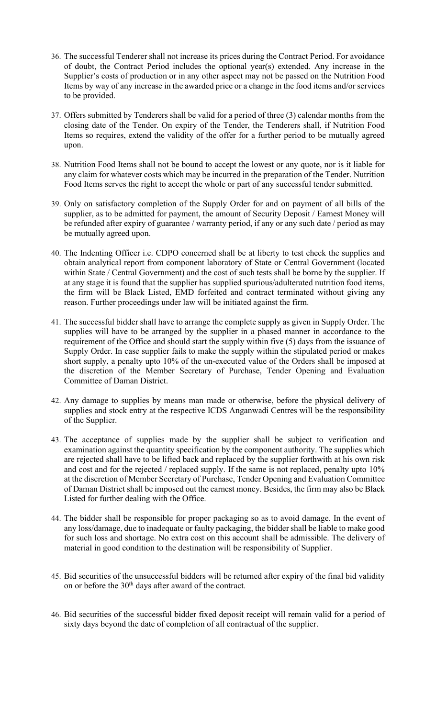- 36. The successful Tenderer shall not increase its prices during the Contract Period. For avoidance of doubt, the Contract Period includes the optional year(s) extended. Any increase in the Supplier's costs of production or in any other aspect may not be passed on the Nutrition Food Items by way of any increase in the awarded price or a change in the food items and/or services to be provided.
- 37. Offers submitted by Tenderers shall be valid for a period of three (3) calendar months from the closing date of the Tender. On expiry of the Tender, the Tenderers shall, if Nutrition Food Items so requires, extend the validity of the offer for a further period to be mutually agreed upon.
- 38. Nutrition Food Items shall not be bound to accept the lowest or any quote, nor is it liable for any claim for whatever costs which may be incurred in the preparation of the Tender. Nutrition Food Items serves the right to accept the whole or part of any successful tender submitted.
- 39. Only on satisfactory completion of the Supply Order for and on payment of all bills of the supplier, as to be admitted for payment, the amount of Security Deposit / Earnest Money will be refunded after expiry of guarantee / warranty period, if any or any such date / period as may be mutually agreed upon.
- 40. The Indenting Officer i.e. CDPO concerned shall be at liberty to test check the supplies and obtain analytical report from component laboratory of State or Central Government (located within State / Central Government) and the cost of such tests shall be borne by the supplier. If at any stage it is found that the supplier has supplied spurious/adulterated nutrition food items, the firm will be Black Listed, EMD forfeited and contract terminated without giving any reason. Further proceedings under law will be initiated against the firm.
- 41. The successful bidder shall have to arrange the complete supply as given in Supply Order. The supplies will have to be arranged by the supplier in a phased manner in accordance to the requirement of the Office and should start the supply within five (5) days from the issuance of Supply Order. In case supplier fails to make the supply within the stipulated period or makes short supply, a penalty upto 10% of the un-executed value of the Orders shall be imposed at the discretion of the Member Secretary of Purchase, Tender Opening and Evaluation Committee of Daman District.
- 42. Any damage to supplies by means man made or otherwise, before the physical delivery of supplies and stock entry at the respective ICDS Anganwadi Centres will be the responsibility of the Supplier.
- 43. The acceptance of supplies made by the supplier shall be subject to verification and examination against the quantity specification by the component authority. The supplies which are rejected shall have to be lifted back and replaced by the supplier forthwith at his own risk and cost and for the rejected / replaced supply. If the same is not replaced, penalty upto 10% at the discretion of Member Secretary of Purchase, Tender Opening and Evaluation Committee of Daman District shall be imposed out the earnest money. Besides, the firm may also be Black Listed for further dealing with the Office.
- 44. The bidder shall be responsible for proper packaging so as to avoid damage. In the event of any loss/damage, due to inadequate or faulty packaging, the bidder shall be liable to make good for such loss and shortage. No extra cost on this account shall be admissible. The delivery of material in good condition to the destination will be responsibility of Supplier.
- 45. Bid securities of the unsuccessful bidders will be returned after expiry of the final bid validity on or before the  $30<sup>th</sup>$  days after award of the contract.
- 46. Bid securities of the successful bidder fixed deposit receipt will remain valid for a period of sixty days beyond the date of completion of all contractual of the supplier.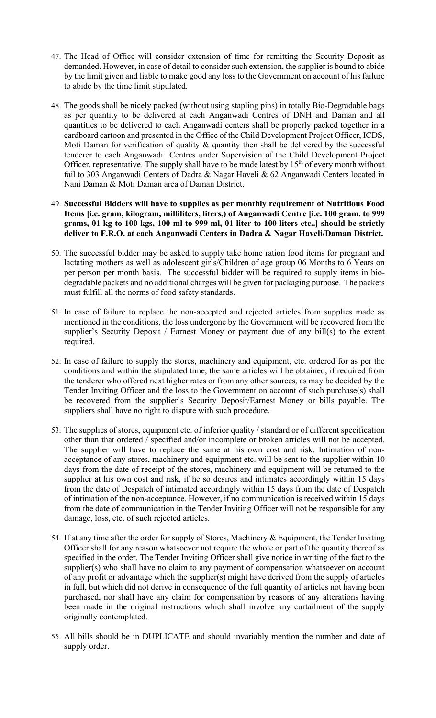- 47. The Head of Office will consider extension of time for remitting the Security Deposit as demanded. However, in case of detail to consider such extension, the supplier is bound to abide by the limit given and liable to make good any loss to the Government on account of his failure to abide by the time limit stipulated.
- 48. The goods shall be nicely packed (without using stapling pins) in totally Bio-Degradable bags as per quantity to be delivered at each Anganwadi Centres of DNH and Daman and all quantities to be delivered to each Anganwadi centers shall be properly packed together in a cardboard cartoon and presented in the Office of the Child Development Project Officer, ICDS, Moti Daman for verification of quality & quantity then shall be delivered by the successful tenderer to each Anganwadi Centres under Supervision of the Child Development Project Officer, representative. The supply shall have to be made latest by  $15<sup>th</sup>$  of every month without fail to 303 Anganwadi Centers of Dadra & Nagar Haveli & 62 Anganwadi Centers located in Nani Daman & Moti Daman area of Daman District.
- 49. Successful Bidders will have to supplies as per monthly requirement of Nutritious Food Items [i.e. gram, kilogram, milliliters, liters,) of Anganwadi Centre [i.e. 100 gram. to 999 grams, 01 kg to 100 kgs, 100 ml to 999 ml, 01 liter to 100 liters etc..] should be strictly deliver to F.R.O. at each Anganwadi Centers in Dadra & Nagar Haveli/Daman District.
- 50. The successful bidder may be asked to supply take home ration food items for pregnant and lactating mothers as well as adolescent girls/Children of age group 06 Months to 6 Years on per person per month basis. The successful bidder will be required to supply items in biodegradable packets and no additional charges will be given for packaging purpose. The packets must fulfill all the norms of food safety standards.
- 51. In case of failure to replace the non-accepted and rejected articles from supplies made as mentioned in the conditions, the loss undergone by the Government will be recovered from the supplier's Security Deposit / Earnest Money or payment due of any bill(s) to the extent required.
- 52. In case of failure to supply the stores, machinery and equipment, etc. ordered for as per the conditions and within the stipulated time, the same articles will be obtained, if required from the tenderer who offered next higher rates or from any other sources, as may be decided by the Tender Inviting Officer and the loss to the Government on account of such purchase(s) shall be recovered from the supplier's Security Deposit/Earnest Money or bills payable. The suppliers shall have no right to dispute with such procedure.
- 53. The supplies of stores, equipment etc. of inferior quality / standard or of different specification other than that ordered / specified and/or incomplete or broken articles will not be accepted. The supplier will have to replace the same at his own cost and risk. Intimation of nonacceptance of any stores, machinery and equipment etc. will be sent to the supplier within 10 days from the date of receipt of the stores, machinery and equipment will be returned to the supplier at his own cost and risk, if he so desires and intimates accordingly within 15 days from the date of Despatch of intimated accordingly within 15 days from the date of Despatch of intimation of the non-acceptance. However, if no communication is received within 15 days from the date of communication in the Tender Inviting Officer will not be responsible for any damage, loss, etc. of such rejected articles.
- 54. If at any time after the order for supply of Stores, Machinery & Equipment, the Tender Inviting Officer shall for any reason whatsoever not require the whole or part of the quantity thereof as specified in the order. The Tender Inviting Officer shall give notice in writing of the fact to the supplier(s) who shall have no claim to any payment of compensation whatsoever on account of any profit or advantage which the supplier(s) might have derived from the supply of articles in full, but which did not derive in consequence of the full quantity of articles not having been purchased, nor shall have any claim for compensation by reasons of any alterations having been made in the original instructions which shall involve any curtailment of the supply originally contemplated.
- 55. All bills should be in DUPLICATE and should invariably mention the number and date of supply order.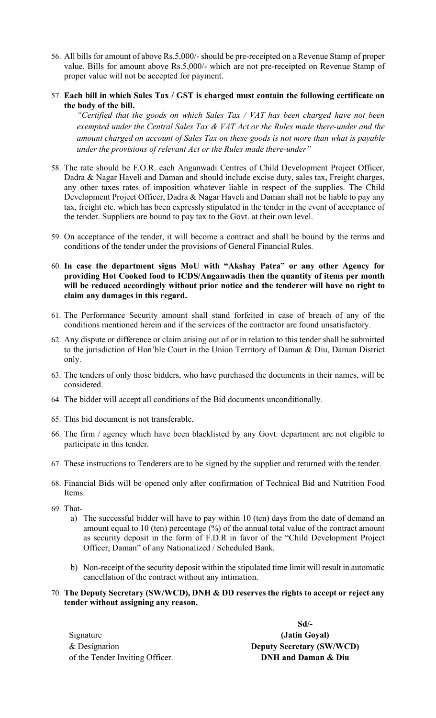- 56. All bills for amount of above Rs.5,000/- should be pre-receipted on a Revenue Stamp of proper value. Bills for amount above Rs.5,000/- which are not pre-receipted on Revenue Stamp of proper value will not be accepted for payment.
- 57. Each bill in which Sales Tax / GST is charged must contain the following certificate on the body of the bill.

"Certified that the goods on which Sales Tax / VAT has been charged have not been exempted under the Central Sales Tax & VAT Act or the Rules made there-under and the amount charged on account of Sales Tax on these goods is not more than what is payable under the provisions of relevant Act or the Rules made there-under"

- 58. The rate should be F.O.R. each Anganwadi Centres of Child Development Project Officer, Dadra & Nagar Haveli and Daman and should include excise duty, sales tax, Freight charges, any other taxes rates of imposition whatever liable in respect of the supplies. The Child Development Project Officer, Dadra & Nagar Haveli and Daman shall not be liable to pay any tax, freight etc. which has been expressly stipulated in the tender in the event of acceptance of the tender. Suppliers are bound to pay tax to the Govt. at their own level.
- 59. On acceptance of the tender, it will become a contract and shall be bound by the terms and conditions of the tender under the provisions of General Financial Rules.
- 60. In case the department signs MoU with "Akshay Patra" or any other Agency for providing Hot Cooked food to ICDS/Anganwadis then the quantity of items per month will be reduced accordingly without prior notice and the tenderer will have no right to claim any damages in this regard.
- 61. The Performance Security amount shall stand forfeited in case of breach of any of the conditions mentioned herein and if the services of the contractor are found unsatisfactory.
- 62. Any dispute or difference or claim arising out of or in relation to this tender shall be submitted to the jurisdiction of Hon'ble Court in the Union Territory of Daman & Diu, Daman District only.
- 63. The tenders of only those bidders, who have purchased the documents in their names, will be considered.
- 64. The bidder will accept all conditions of the Bid documents unconditionally.
- 65. This bid document is not transferable.
- 66. The firm / agency which have been blacklisted by any Govt. department are not eligible to participate in this tender.
- 67. These instructions to Tenderers are to be signed by the supplier and returned with the tender.
- 68. Financial Bids will be opened only after confirmation of Technical Bid and Nutrition Food Items.
- 69. That
	- a) The successful bidder will have to pay within 10 (ten) days from the date of demand an amount equal to 10 (ten) percentage (%) of the annual total value of the contract amount as security deposit in the form of F.D.R in favor of the "Child Development Project Officer, Daman" of any Nationalized / Scheduled Bank.
	- b) Non-receipt of the security deposit within the stipulated time limit will result in automatic cancellation of the contract without any intimation.
- 70. The Deputy Secretary (SW/WCD), DNH & DD reserves the rights to accept or reject any tender without assigning any reason.

Signature & Designation of the Tender Inviting Officer.

Sd/- (Jatin Goyal) Deputy Secretary (SW/WCD) DNH and Daman & Diu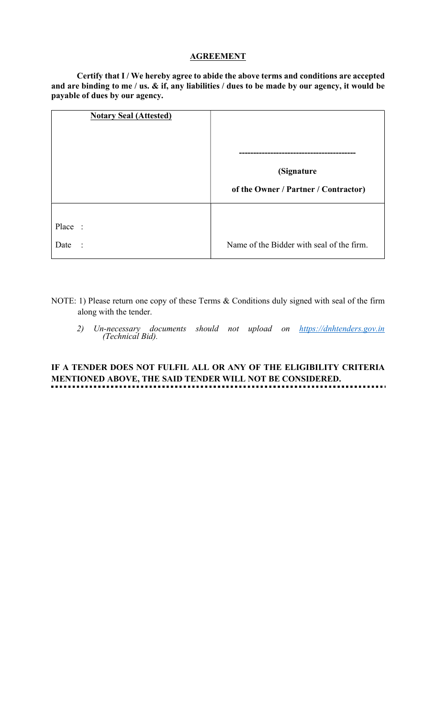#### **AGREEMENT**

Certify that I / We hereby agree to abide the above terms and conditions are accepted and are binding to me / us. & if, any liabilities / dues to be made by our agency, it would be payable of dues by our agency.

| <b>Notary Seal (Attested)</b> |                                                    |
|-------------------------------|----------------------------------------------------|
|                               | (Signature<br>of the Owner / Partner / Contractor) |
| Place :<br>Date<br>$\ddots$   | Name of the Bidder with seal of the firm.          |

- NOTE: 1) Please return one copy of these Terms & Conditions duly signed with seal of the firm along with the tender.
	- 2) Un-necessary documents should not upload on https://dnhtenders.gov.in (Technical Bid).

#### IF A TENDER DOES NOT FULFIL ALL OR ANY OF THE ELIGIBILITY CRITERIA MENTIONED ABOVE, THE SAID TENDER WILL NOT BE CONSIDERED. . . . . . . . . . . . . . . . . . . . . . . . . . . . . . .